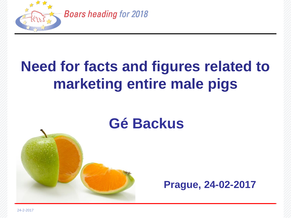

# **Need for facts and figures related to marketing entire male pigs**

# **Gé Backus**

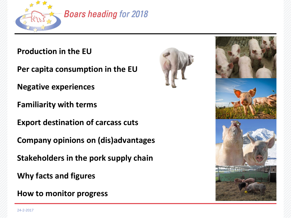

## **Boars heading for 2018**

### **Production in the EU**

**Per capita consumption in the EU**

**Negative experiences**

**Familiarity with terms**

**Export destination of carcass cuts**

**Company opinions on (dis)advantages**

**Stakeholders in the pork supply chain**

**Why facts and figures**

**How to monitor progress**



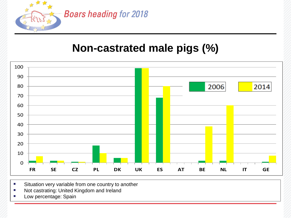

## **Non-castrated male pigs (%)**



- Situation very variable from one country to another
- **Not castrating: United Kingdom and Ireland**
- **Low percentage: Spain**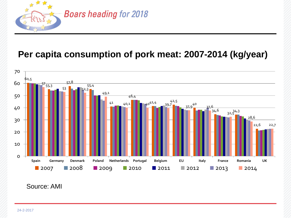

## **Per capita consumption of pork meat: 2007-2014 (kg/year)**



#### Source: AMI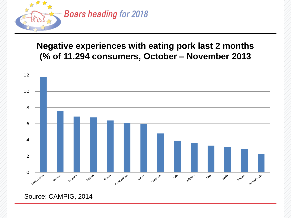

### **Negative experiences with eating pork last 2 months (% of 11.294 consumers, October – November 2013**



### Source: CAMPIG, 2014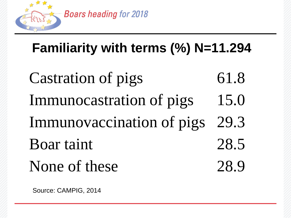

# **Familiarity with terms (%) N=11.294**

Castration of pigs 61.8 Immunocastration of pigs 15.0 Immunovaccination of pigs 29.3 Boar taint 28.5 None of these 28.9

Source: CAMPIG, 2014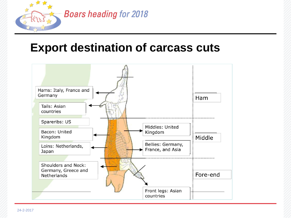

## **Export destination of carcass cuts**

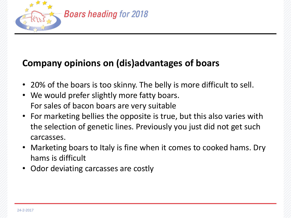

## **Company opinions on (dis)advantages of boars**

- 20% of the boars is too skinny. The belly is more difficult to sell.
- We would prefer slightly more fatty boars. For sales of bacon boars are very suitable
- For marketing bellies the opposite is true, but this also varies with the selection of genetic lines. Previously you just did not get such carcasses.
- Marketing boars to Italy is fine when it comes to cooked hams. Dry hams is difficult
- Odor deviating carcasses are costly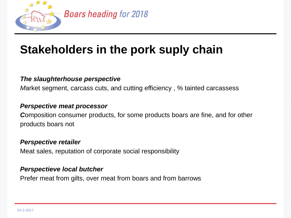

# **Stakeholders in the pork suply chain**

### *The slaughterhouse perspective*

*M*arket segment, carcass cuts, and cutting efficiency , % tainted carcassess

### *Perspective meat processor*

*C*omposition consumer products, for some products boars are fine, and for other products boars not

### *Perspective retailer*

Meat sales, reputation of corporate social responsibility

### *Perspectieve local butcher*

Prefer meat from gilts, over meat from boars and from barrows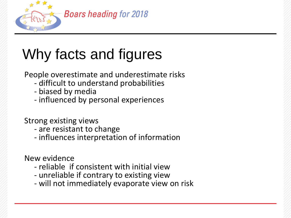

# Why facts and figures

People overestimate and underestimate risks

- difficult to understand probabilities
- biased by media
- influenced by personal experiences

Strong existing views

- are resistant to change
- influences interpretation of information

New evidence

- reliable if consistent with initial view
- unreliable if contrary to existing view
- will not immediately evaporate view on risk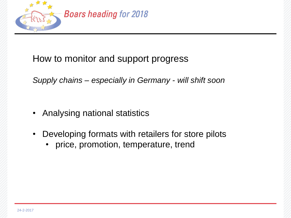

## How to monitor and support progress

*Supply chains – especially in Germany - will shift soon*

- Analysing national statistics
- Developing formats with retailers for store pilots
	- price, promotion, temperature, trend